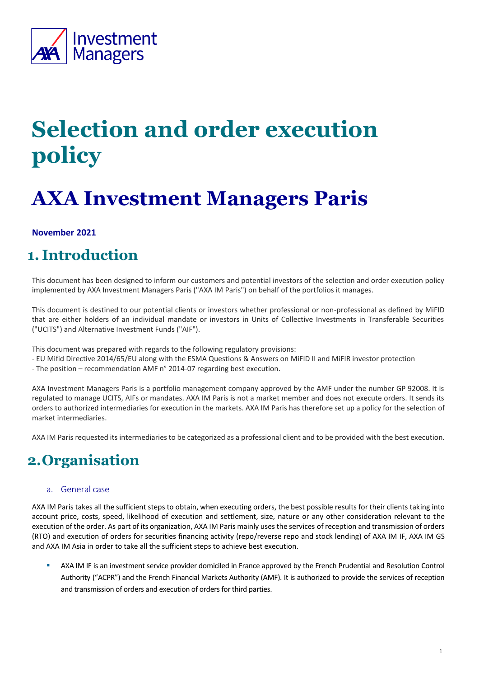

# **Selection and order execution policy**

# **AXA Investment Managers Paris**

#### **November 2021**

### **1. Introduction**

This document has been designed to inform our customers and potential investors of the selection and order execution policy implemented by AXA Investment Managers Paris ("AXA IM Paris") on behalf of the portfolios it manages.

This document is destined to our potential clients or investors whether professional or non-professional as defined by MiFID that are either holders of an individual mandate or investors in Units of Collective Investments in Transferable Securities ("UCITS") and Alternative Investment Funds ("AIF").

This document was prepared with regards to the following regulatory provisions:

- EU Mifid Directive 2014/65/EU along with the ESMA Questions & Answers on MiFID II and MiFIR investor protection
- The position recommendation AMF n° 2014-07 regarding best execution.

AXA Investment Managers Paris is a portfolio management company approved by the AMF under the number GP 92008. It is regulated to manage UCITS, AIFs or mandates. AXA IM Paris is not a market member and does not execute orders. It sends its orders to authorized intermediaries for execution in the markets. AXA IM Paris has therefore set up a policy for the selection of market intermediaries.

AXA IM Paris requested its intermediaries to be categorized as a professional client and to be provided with the best execution.

### **2.Organisation**

#### a. General case

AXA IM Paris takes all the sufficient steps to obtain, when executing orders, the best possible results for their clients taking into account price, costs, speed, likelihood of execution and settlement, size, nature or any other consideration relevant to the execution of the order. As part of its organization, AXA IM Paris mainly uses the services of reception and transmission of orders (RTO) and execution of orders for securities financing activity (repo/reverse repo and stock lending) of AXA IM IF, AXA IM GS and AXA IM Asia in order to take all the sufficient steps to achieve best execution.

**EXALLACT IN 1998** AXA IM IF is an investment service provider domiciled in France approved by the French Prudential and Resolution Control Authority ("ACPR") and the French Financial Markets Authority (AMF). It is authorized to provide the services of reception and transmission of orders and execution of orders for third parties.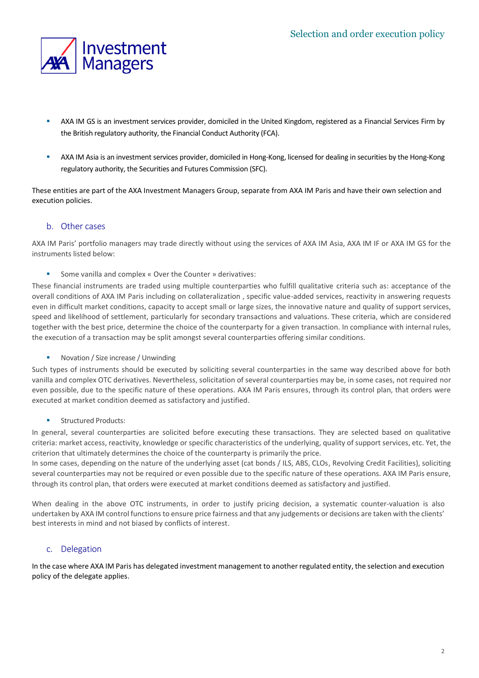

- **EXALLACT AXA IM GS is an investment services provider, domiciled in the United Kingdom, registered as a Financial Services Firm by** the British regulatory authority, the Financial Conduct Authority (FCA).
- " AXA IM Asia is an investment services provider, domiciled in Hong-Kong, licensed for dealing in securities by the Hong-Kong regulatory authority, the Securities and Futures Commission (SFC).

These entities are part of the AXA Investment Managers Group, separate from AXA IM Paris and have their own selection and execution policies.

#### b. Other cases

AXA IM Paris' portfolio managers may trade directly without using the services of AXA IM Asia, AXA IM IF or AXA IM GS for the instruments listed below:

Some vanilla and complex « Over the Counter » derivatives:

These financial instruments are traded using multiple counterparties who fulfill qualitative criteria such as: acceptance of the overall conditions of AXA IM Paris including on collateralization , specific value-added services, reactivity in answering requests even in difficult market conditions, capacity to accept small or large sizes, the innovative nature and quality of support services, speed and likelihood of settlement, particularly for secondary transactions and valuations. These criteria, which are considered together with the best price, determine the choice of the counterparty for a given transaction. In compliance with internal rules, the execution of a transaction may be split amongst several counterparties offering similar conditions.

■ Novation / Size increase / Unwinding

Such types of instruments should be executed by soliciting several counterparties in the same way described above for both vanilla and complex OTC derivatives. Nevertheless, solicitation of several counterparties may be, in some cases, not required nor even possible, due to the specific nature of these operations. AXA IM Paris ensures, through its control plan, that orders were executed at market condition deemed as satisfactory and justified.

**Structured Products:** 

In general, several counterparties are solicited before executing these transactions. They are selected based on qualitative criteria: market access, reactivity, knowledge or specific characteristics of the underlying, quality of support services, etc. Yet, the criterion that ultimately determines the choice of the counterparty is primarily the price.

In some cases, depending on the nature of the underlying asset (cat bonds / ILS, ABS, CLOs, Revolving Credit Facilities), soliciting several counterparties may not be required or even possible due to the specific nature of these operations. AXA IM Paris ensure, through its control plan, that orders were executed at market conditions deemed as satisfactory and justified.

When dealing in the above OTC instruments, in order to justify pricing decision, a systematic counter-valuation is also undertaken by AXA IM control functions to ensure price fairness and that any judgements or decisions are taken with the clients' best interests in mind and not biased by conflicts of interest.

#### c. Delegation

In the case where AXA IM Paris has delegated investment management to another regulated entity, the selection and execution policy of the delegate applies.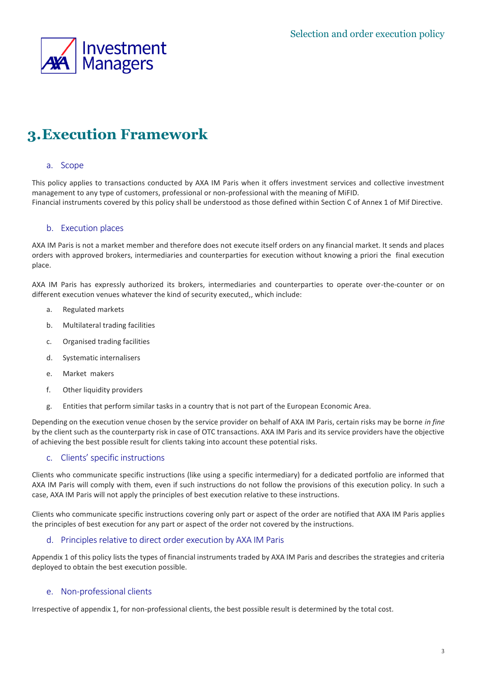

## **3.Execution Framework**

#### a. Scope

This policy applies to transactions conducted by AXA IM Paris when it offers investment services and collective investment management to any type of customers, professional or non-professional with the meaning of MiFID. Financial instruments covered by this policy shall be understood as those defined within Section C of Annex 1 of Mif Directive.

#### b. Execution places

AXA IM Paris is not a market member and therefore does not execute itself orders on any financial market. It sends and places orders with approved brokers, intermediaries and counterparties for execution without knowing a priori the final execution place.

AXA IM Paris has expressly authorized its brokers, intermediaries and counterparties to operate over-the-counter or on different execution venues whatever the kind of security executed,, which include:

- a. Regulated markets
- b. Multilateral trading facilities
- c. Organised trading facilities
- d. Systematic internalisers
- e. Market makers
- f. Other liquidity providers
- g. Entities that perform similar tasks in a country that is not part of the European Economic Area.

Depending on the execution venue chosen by the service provider on behalf of AXA IM Paris, certain risks may be borne *in fine* by the client such as the counterparty risk in case of OTC transactions. AXA IM Paris and its service providers have the objective of achieving the best possible result for clients taking into account these potential risks.

#### c. Clients' specific instructions

Clients who communicate specific instructions (like using a specific intermediary) for a dedicated portfolio are informed that AXA IM Paris will comply with them, even if such instructions do not follow the provisions of this execution policy. In such a case, AXA IM Paris will not apply the principles of best execution relative to these instructions.

Clients who communicate specific instructions covering only part or aspect of the order are notified that AXA IM Paris applies the principles of best execution for any part or aspect of the order not covered by the instructions.

#### d. Principles relative to direct order execution by AXA IM Paris

Appendix 1 of this policy lists the types of financial instruments traded by AXA IM Paris and describes the strategies and criteria deployed to obtain the best execution possible.

#### e. Non-professional clients

Irrespective of appendix 1, for non-professional clients, the best possible result is determined by the total cost.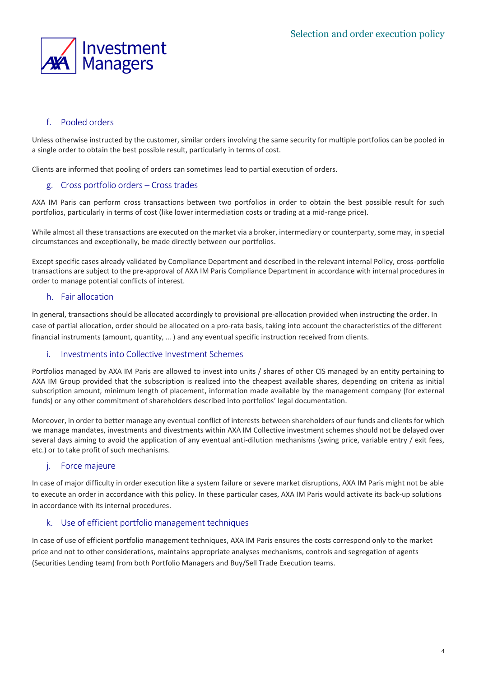

#### f. Pooled orders

Unless otherwise instructed by the customer, similar orders involving the same security for multiple portfolios can be pooled in a single order to obtain the best possible result, particularly in terms of cost.

Clients are informed that pooling of orders can sometimes lead to partial execution of orders.

#### g. Cross portfolio orders – Cross trades

AXA IM Paris can perform cross transactions between two portfolios in order to obtain the best possible result for such portfolios, particularly in terms of cost (like lower intermediation costs or trading at a mid-range price).

While almost all these transactions are executed on the market via a broker, intermediary or counterparty, some may, in special circumstances and exceptionally, be made directly between our portfolios.

Except specific cases already validated by Compliance Department and described in the relevant internal Policy, cross-portfolio transactions are subject to the pre-approval of AXA IM Paris Compliance Department in accordance with internal procedures in order to manage potential conflicts of interest.

#### h. Fair allocation

In general, transactions should be allocated accordingly to provisional pre-allocation provided when instructing the order. In case of partial allocation, order should be allocated on a pro-rata basis, taking into account the characteristics of the different financial instruments (amount, quantity, … ) and any eventual specific instruction received from clients.

#### i. Investments into Collective Investment Schemes

Portfolios managed by AXA IM Paris are allowed to invest into units / shares of other CIS managed by an entity pertaining to AXA IM Group provided that the subscription is realized into the cheapest available shares, depending on criteria as initial subscription amount, minimum length of placement, information made available by the management company (for external funds) or any other commitment of shareholders described into portfolios' legal documentation.

Moreover, in order to better manage any eventual conflict of interests between shareholders of our funds and clients for which we manage mandates, investments and divestments within AXA IM Collective investment schemes should not be delayed over several days aiming to avoid the application of any eventual anti-dilution mechanisms (swing price, variable entry / exit fees, etc.) or to take profit of such mechanisms.

#### j. Force majeure

In case of major difficulty in order execution like a system failure or severe market disruptions, AXA IM Paris might not be able to execute an order in accordance with this policy. In these particular cases, AXA IM Paris would activate its back-up solutions in accordance with its internal procedures.

#### k. Use of efficient portfolio management techniques

In case of use of efficient portfolio management techniques, AXA IM Paris ensures the costs correspond only to the market price and not to other considerations, maintains appropriate analyses mechanisms, controls and segregation of agents (Securities Lending team) from both Portfolio Managers and Buy/Sell Trade Execution teams.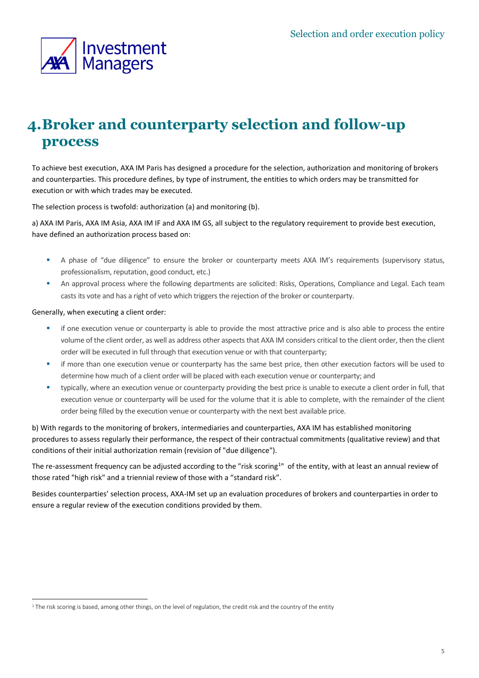

### **4.Broker and counterparty selection and follow-up process**

To achieve best execution, AXA IM Paris has designed a procedure for the selection, authorization and monitoring of brokers and counterparties. This procedure defines, by type of instrument, the entities to which orders may be transmitted for execution or with which trades may be executed.

The selection process is twofold: authorization (a) and monitoring (b).

a) AXA IM Paris, AXA IM Asia, AXA IM IF and AXA IM GS, all subject to the regulatory requirement to provide best execution, have defined an authorization process based on:

- **E** A phase of "due diligence" to ensure the broker or counterparty meets AXA IM's requirements (supervisory status, professionalism, reputation, good conduct, etc.)
- **.** An approval process where the following departments are solicited: Risks, Operations, Compliance and Legal. Each team casts its vote and has a right of veto which triggers the rejection of the broker or counterparty.

#### Generally, when executing a client order:

- if one execution venue or counterparty is able to provide the most attractive price and is also able to process the entire volume of the client order, as well as address other aspects that AXA IM considers critical to the client order, then the client order will be executed in full through that execution venue or with that counterparty;
- if more than one execution venue or counterparty has the same best price, then other execution factors will be used to determine how much of a client order will be placed with each execution venue or counterparty; and
- typically, where an execution venue or counterparty providing the best price is unable to execute a client order in full, that execution venue or counterparty will be used for the volume that it is able to complete, with the remainder of the client order being filled by the execution venue or counterparty with the next best available price.

b) With regards to the monitoring of brokers, intermediaries and counterparties, AXA IM has established monitoring procedures to assess regularly their performance, the respect of their contractual commitments (qualitative review) and that conditions of their initial authorization remain (revision of "due diligence").

The re-assessment frequency can be adjusted according to the "risk scoring<sup>1</sup>" of the entity, with at least an annual review of those rated "high risk" and a triennial review of those with a "standard risk".

Besides counterparties' selection process, AXA-IM set up an evaluation procedures of brokers and counterparties in order to ensure a regular review of the execution conditions provided by them.

 $1$  The risk scoring is based, among other things, on the level of regulation, the credit risk and the country of the entity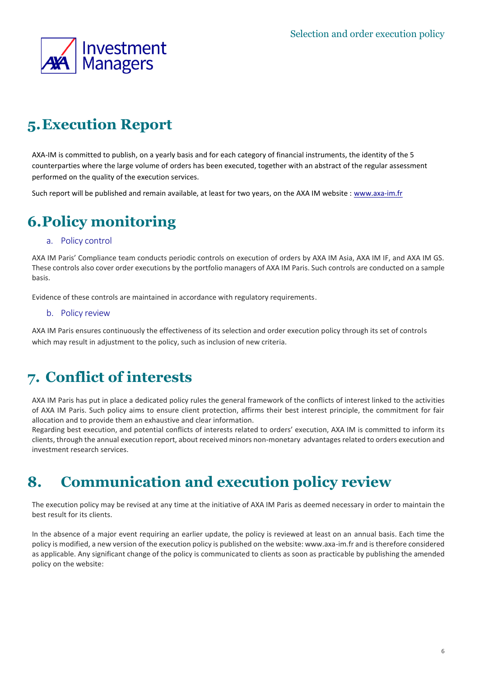

## **5.Execution Report**

AXA-IM is committed to publish, on a yearly basis and for each category of financial instruments, the identity of the 5 counterparties where the large volume of orders has been executed, together with an abstract of the regular assessment performed on the quality of the execution services.

Such report will be published and remain available, at least for two years, on the AXA IM website : www.axa-im.fr

### **6.Policy monitoring**

#### a. Policy control

AXA IM Paris' Compliance team conducts periodic controls on execution of orders by AXA IM Asia, AXA IM IF, and AXA IM GS. These controls also cover order executions by the portfolio managers of AXA IM Paris. Such controls are conducted on a sample basis.

Evidence of these controls are maintained in accordance with regulatory requirements.

#### b. Policy review

AXA IM Paris ensures continuously the effectiveness of its selection and order execution policy through its set of controls which may result in adjustment to the policy, such as inclusion of new criteria.

### **7. Conflict of interests**

AXA IM Paris has put in place a dedicated policy rules the general framework of the conflicts of interest linked to the activities of AXA IM Paris. Such policy aims to ensure client protection, affirms their best interest principle, the commitment for fair allocation and to provide them an exhaustive and clear information.

Regarding best execution, and potential conflicts of interests related to orders' execution, AXA IM is committed to inform its clients, through the annual execution report, about received minors non-monetary advantages related to orders execution and investment research services.

### **8. Communication and execution policy review**

The execution policy may be revised at any time at the initiative of AXA IM Paris as deemed necessary in order to maintain the best result for its clients.

In the absence of a major event requiring an earlier update, the policy is reviewed at least on an annual basis. Each time the policy is modified, a new version of the execution policy is published on the website: www.axa-im.fr and is therefore considered as applicable. Any significant change of the policy is communicated to clients as soon as practicable by publishing the amended policy on the website: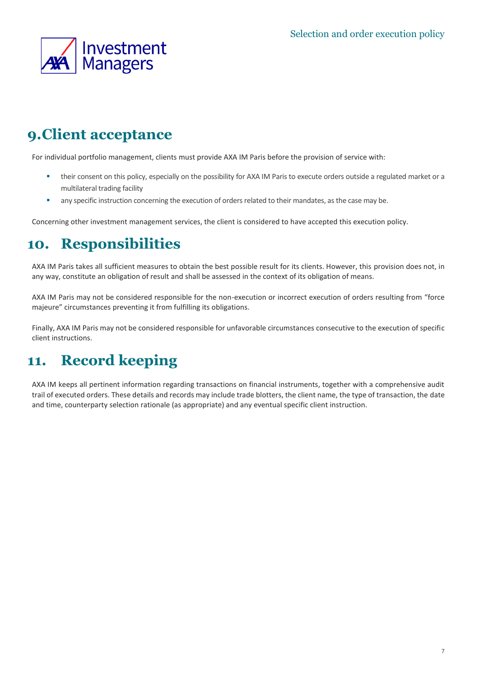

### **9.Client acceptance**

For individual portfolio management, clients must provide AXA IM Paris before the provision of service with:

- **.** their consent on this policy, especially on the possibility for AXA IM Paris to execute orders outside a regulated market or a multilateral trading facility
- **•** any specific instruction concerning the execution of orders related to their mandates, as the case may be.

Concerning other investment management services, the client is considered to have accepted this execution policy.

### **10. Responsibilities**

AXA IM Paris takes all sufficient measures to obtain the best possible result for its clients. However, this provision does not, in any way, constitute an obligation of result and shall be assessed in the context of its obligation of means.

AXA IM Paris may not be considered responsible for the non-execution or incorrect execution of orders resulting from "force majeure" circumstances preventing it from fulfilling its obligations.

Finally, AXA IM Paris may not be considered responsible for unfavorable circumstances consecutive to the execution of specific client instructions.

### **11. Record keeping**

AXA IM keeps all pertinent information regarding transactions on financial instruments, together with a comprehensive audit trail of executed orders. These details and records may include trade blotters, the client name, the type of transaction, the date and time, counterparty selection rationale (as appropriate) and any eventual specific client instruction.